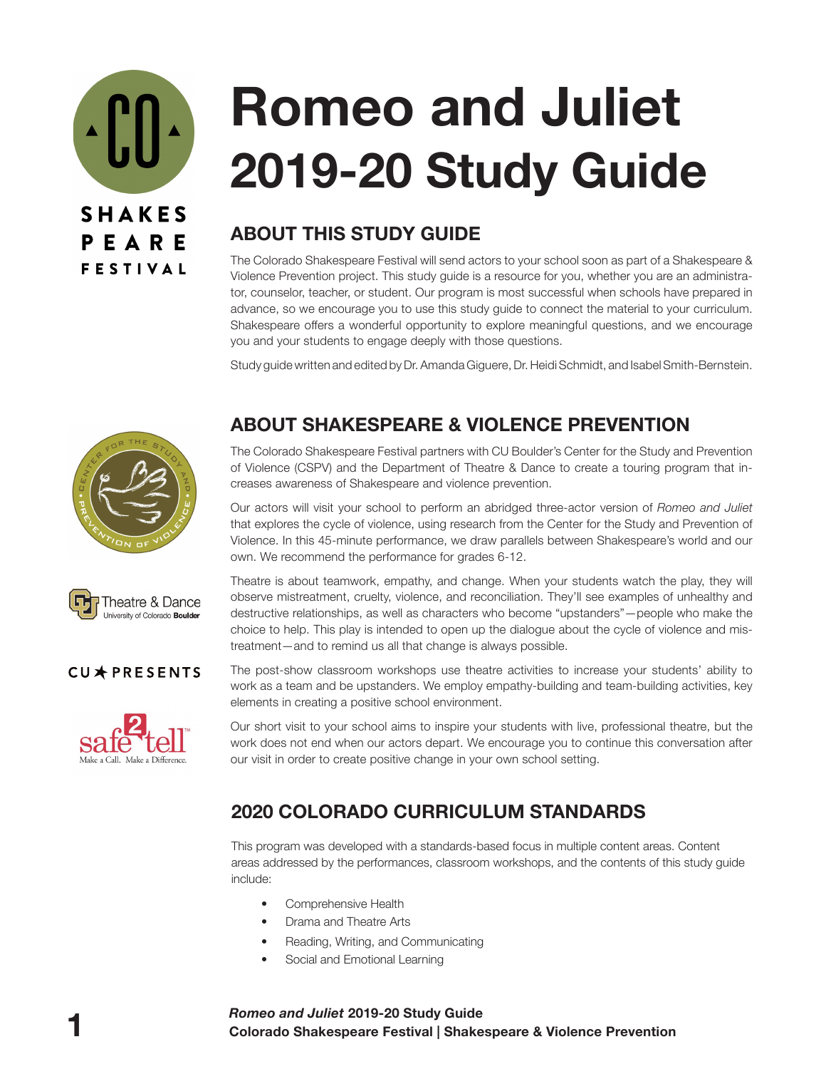<u>^ ['[] ^</u> **SHAKES** PEARE **FESTIVAL** 

# **Romeo and Juliet 2019-20 Study Guide**

# **ABOUT THIS STUDY GUIDE**

The Colorado Shakespeare Festival will send actors to your school soon as part of a Shakespeare & Violence Prevention project. This study guide is a resource for you, whether you are an administrator, counselor, teacher, or student. Our program is most successful when schools have prepared in advance, so we encourage you to use this study guide to connect the material to your curriculum. Shakespeare offers a wonderful opportunity to explore meaningful questions, and we encourage you and your students to engage deeply with those questions.

Study guide written and edited by Dr. Amanda Giguere, Dr. Heidi Schmidt, and Isabel Smith-Bernstein.





## CU\*PRESENTS



# **ABOUT SHAKESPEARE & VIOLENCE PREVENTION**

The Colorado Shakespeare Festival partners with CU Boulder's Center for the Study and Prevention of Violence (CSPV) and the Department of Theatre & Dance to create a touring program that increases awareness of Shakespeare and violence prevention.

Our actors will visit your school to perform an abridged three-actor version of *Romeo and Juliet*  that explores the cycle of violence, using research from the Center for the Study and Prevention of Violence. In this 45-minute performance, we draw parallels between Shakespeare's world and our own. We recommend the performance for grades 6-12.

Theatre is about teamwork, empathy, and change. When your students watch the play, they will observe mistreatment, cruelty, violence, and reconciliation. They'll see examples of unhealthy and destructive relationships, as well as characters who become "upstanders"—people who make the choice to help. This play is intended to open up the dialogue about the cycle of violence and mistreatment—and to remind us all that change is always possible.

The post-show classroom workshops use theatre activities to increase your students' ability to work as a team and be upstanders. We employ empathy-building and team-building activities, key elements in creating a positive school environment.

Our short visit to your school aims to inspire your students with live, professional theatre, but the work does not end when our actors depart. We encourage you to continue this conversation after our visit in order to create positive change in your own school setting.

# **2020 COLORADO CURRICULUM STANDARDS**

This program was developed with a standards-based focus in multiple content areas. Content areas addressed by the performances, classroom workshops, and the contents of this study guide include:

- Comprehensive Health
- Drama and Theatre Arts
- Reading, Writing, and Communicating
- Social and Emotional Learning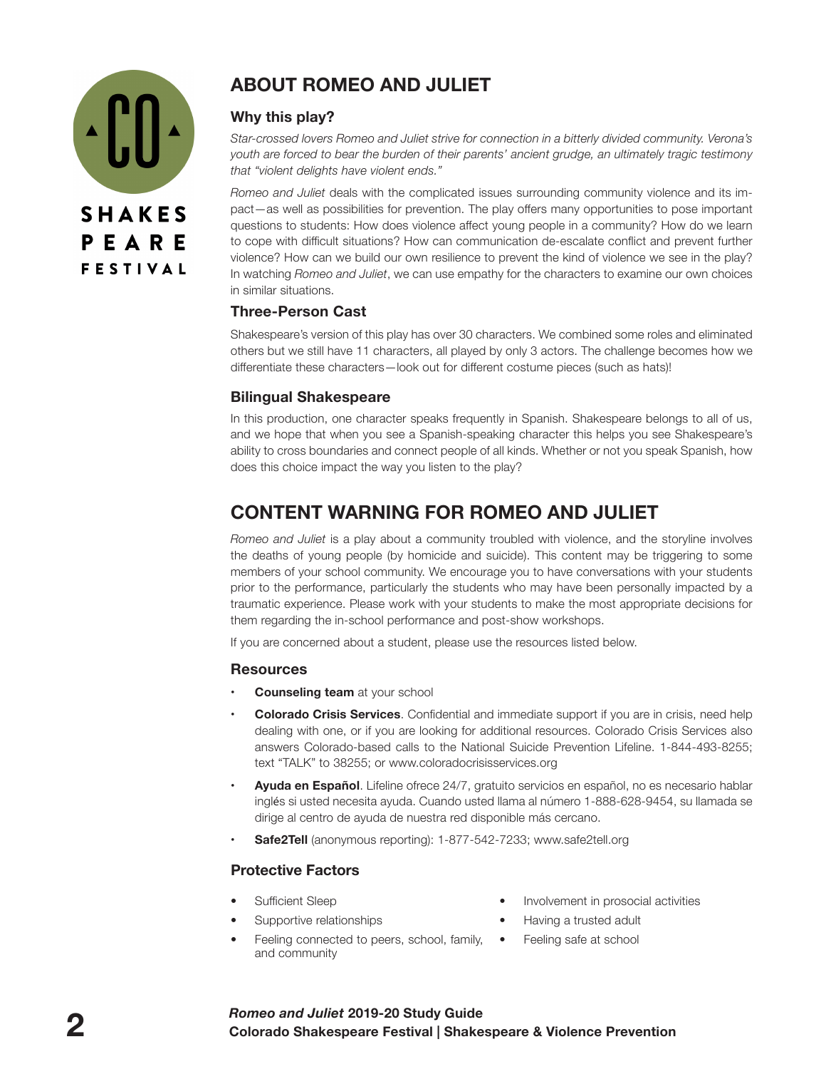

# **ABOUT ROMEO AND JULIET**

#### **Why this play?**

*Star-crossed lovers Romeo and Juliet strive for connection in a bitterly divided community. Verona's youth are forced to bear the burden of their parents' ancient grudge, an ultimately tragic testimony that "violent delights have violent ends."*

*Romeo and Juliet* deals with the complicated issues surrounding community violence and its impact—as well as possibilities for prevention. The play offers many opportunities to pose important questions to students: How does violence affect young people in a community? How do we learn to cope with difficult situations? How can communication de-escalate conflict and prevent further violence? How can we build our own resilience to prevent the kind of violence we see in the play? In watching *Romeo and Juliet*, we can use empathy for the characters to examine our own choices in similar situations.

#### **Three-Person Cast**

Shakespeare's version of this play has over 30 characters. We combined some roles and eliminated others but we still have 11 characters, all played by only 3 actors. The challenge becomes how we differentiate these characters—look out for different costume pieces (such as hats)!

#### **Bilingual Shakespeare**

In this production, one character speaks frequently in Spanish. Shakespeare belongs to all of us, and we hope that when you see a Spanish-speaking character this helps you see Shakespeare's ability to cross boundaries and connect people of all kinds. Whether or not you speak Spanish, how does this choice impact the way you listen to the play?

# **CONTENT WARNING FOR ROMEO AND JULIET**

*Romeo and Juliet* is a play about a community troubled with violence, and the storyline involves the deaths of young people (by homicide and suicide). This content may be triggering to some members of your school community. We encourage you to have conversations with your students prior to the performance, particularly the students who may have been personally impacted by a traumatic experience. Please work with your students to make the most appropriate decisions for them regarding the in-school performance and post-show workshops.

If you are concerned about a student, please use the resources listed below.

#### **Resources**

- **Counseling team** at your school
- **Colorado Crisis Services**. Confidential and immediate support if you are in crisis, need help dealing with one, or if you are looking for additional resources. Colorado Crisis Services also answers Colorado-based calls to the National Suicide Prevention Lifeline. 1-844-493-8255; text "TALK" to 38255; or www.coloradocrisisservices.org
- **• Ayuda en Español**. Lifeline ofrece 24/7, gratuito servicios en español, no es necesario hablar inglés si usted necesita ayuda. Cuando usted llama al número 1-888-628-9454, su llamada se dirige al centro de ayuda de nuestra red disponible más cercano.
- **Safe2Tell** (anonymous reporting): 1-877-542-7233; www.safe2tell.org

#### **Protective Factors**

- Sufficient Sleep
	- Supportive relationships
- Feeling connected to peers, school, family,  $\bullet$ and community
- Involvement in prosocial activities
- Having a trusted adult
	- Feeling safe at school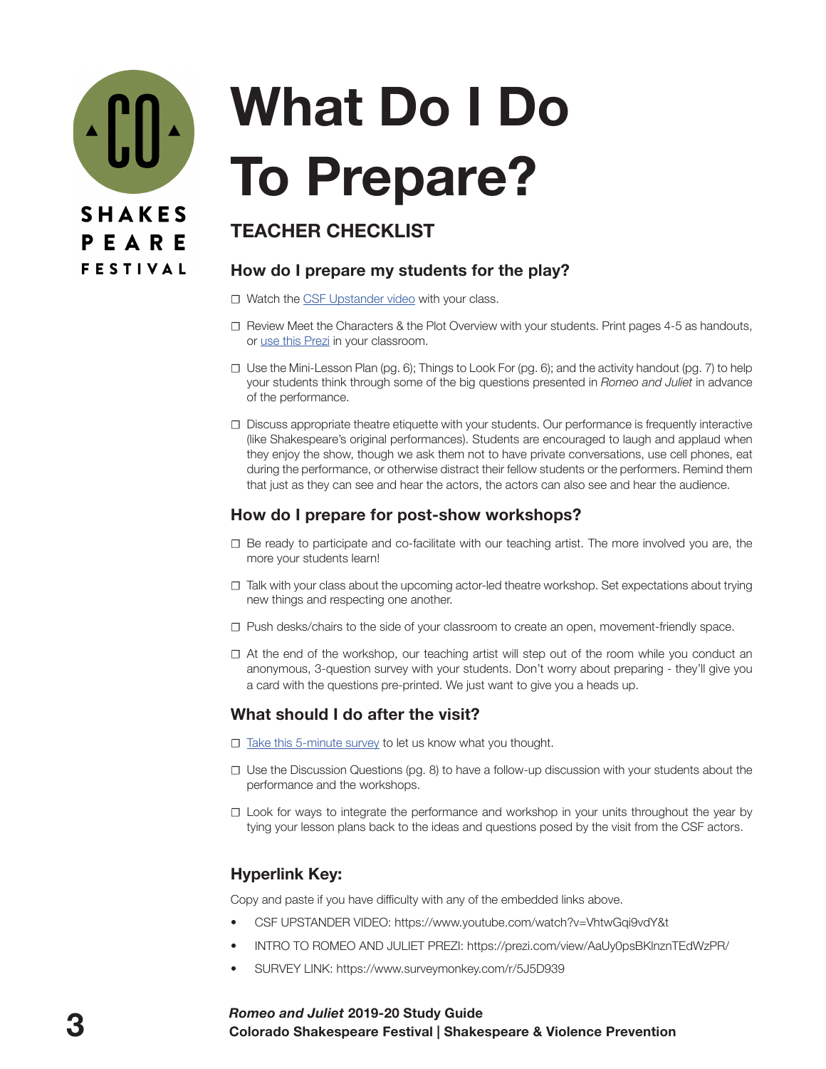

# **What Do I Do To Prepare?**

# **TEACHER CHECKLIST**

#### **How do I prepare my students for the play?**

- **☐** Watch the [CSF Upstander video](https://www.youtube.com/watch?v=VhtwGqi9vdY&t) with your class.
- **☐** Review Meet the Characters & the Plot Overview with your students. Print pages 4-5 as handouts, or use thi[s Prezi](https://prezi.com/view/AaUy0psBKlnznTEdWzPR/) in your classroom.
- **☐** Use the Mini-Lesson Plan (pg. 6); Things to Look For (pg. 6); and the activity handout (pg. 7) to help your students think through some of the big questions presented in *Romeo and Juliet* in advance of the performance.
- **☐** Discuss appropriate theatre etiquette with your students. Our performance is frequently interactive (like Shakespeare's original performances). Students are encouraged to laugh and applaud when they enjoy the show, though we ask them not to have private conversations, use cell phones, eat during the performance, or otherwise distract their fellow students or the performers. Remind them that just as they can see and hear the actors, the actors can also see and hear the audience.

## **How do I prepare for post-show workshops?**

- **☐** Be ready to participate and co-facilitate with our teaching artist. The more involved you are, the more your students learn!
- **☐** Talk with your class about the upcoming actor-led theatre workshop. Set expectations about trying new things and respecting one another.
- **☐** Push desks/chairs to the side of your classroom to create an open, movement-friendly space.
- **☐** At the end of the workshop, our teaching artist will step out of the room while you conduct an anonymous, 3-question survey with your students. Don't worry about preparing - they'll give you a card with the questions pre-printed. We just want to give you a heads up.

## **What should I do after the visit?**

- **□** [Take this 5-minute survey](https://www.surveymonkey.com/r/5J5D939) to let us know what you thought.
- **☐** Use the Discussion Questions (pg. 8) to have a follow-up discussion with your students about the performance and the workshops.
- **☐** Look for ways to integrate the performance and workshop in your units throughout the year by tying your lesson plans back to the ideas and questions posed by the visit from the CSF actors.

## **Hyperlink Key:**

Copy and paste if you have difficulty with any of the embedded links above.

- CSF UPSTANDER VIDEO: https://www.youtube.com/watch?v=VhtwGqi9vdY&t
- INTRO TO ROMEO AND JULIET PREZI: https://prezi.com/view/AaUy0psBKlnznTEdWzPR/
- SURVEY LINK: https://www.surveymonkey.com/r/5J5D939

#### **3 Colorado Shakespeare Festival | Shakespeare & Violence Prevention** *Romeo and Juliet* **2019-20 Study Guide**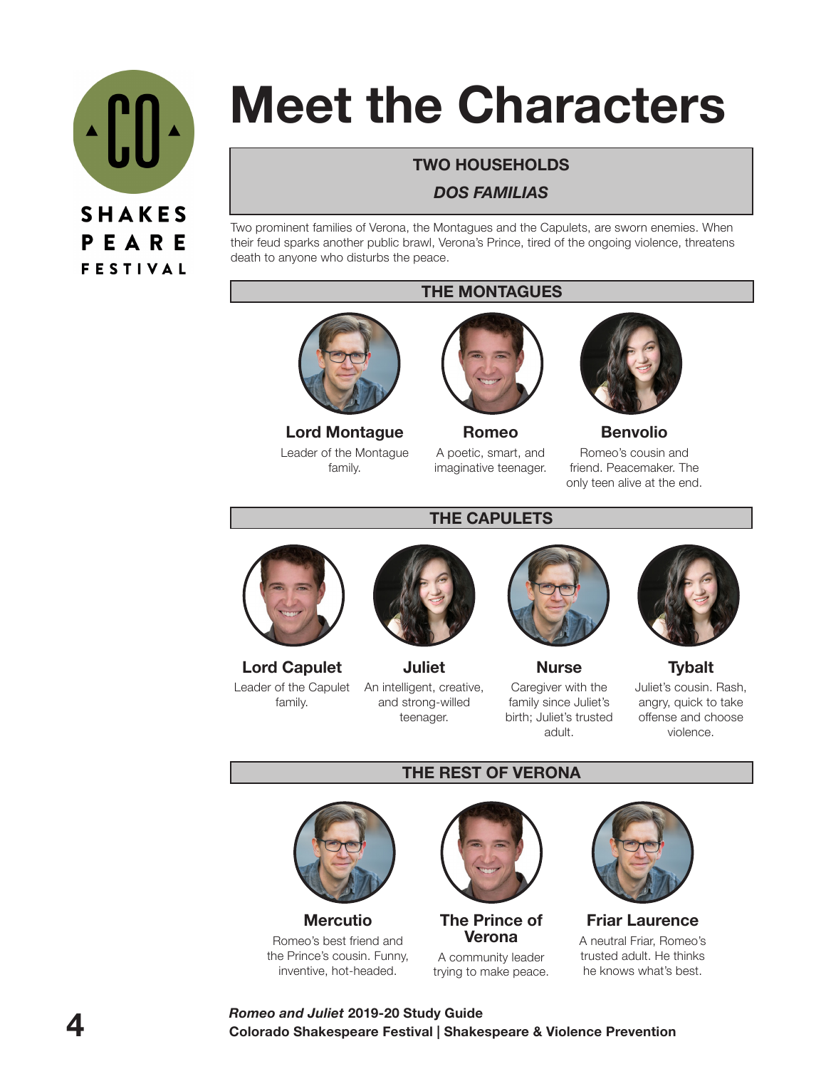

# **Meet the Characters**

## **TWO HOUSEHOLDS**

#### *DOS FAMILIAS*

Two prominent families of Verona, the Montagues and the Capulets, are sworn enemies. When their feud sparks another public brawl, Verona's Prince, tired of the ongoing violence, threatens death to anyone who disturbs the peace.

#### **THE MONTAGUES**



**Lord Montague**  Leader of the Montague family.



**Romeo** A poetic, smart, and imaginative teenager.



**Benvolio**

Romeo's cousin and friend. Peacemaker. The only teen alive at the end.

# **THE CAPULETS**



**Lord Capulet** Leader of the Capulet family.



**Juliet** An intelligent, creative, and strong-willed teenager.



**Nurse** Caregiver with the family since Juliet's birth; Juliet's trusted adult.



**Tybalt** Juliet's cousin. Rash, angry, quick to take offense and choose violence.

# **THE REST OF VERONA**



**Mercutio** Romeo's best friend and the Prince's cousin. Funny, inventive, hot-headed.



**The Prince of Verona**  A community leader trying to make peace.



**Friar Laurence** A neutral Friar, Romeo's trusted adult. He thinks he knows what's best.

#### **4 Colorado Shakespeare Festival | Shakespeare & Violence Prevention** *Romeo and Juliet* **2019-20 Study Guide**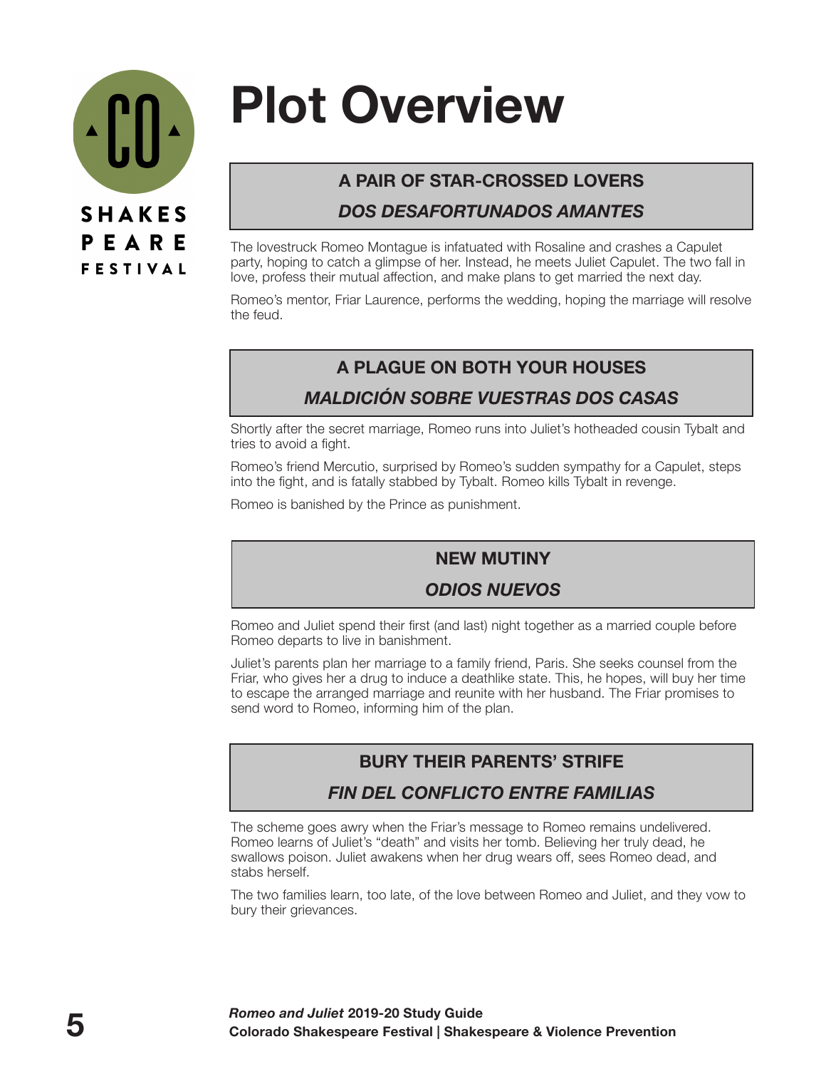

# **Plot Overview**

# **A PAIR OF STAR-CROSSED LOVERS**

## *DOS DESAFORTUNADOS AMANTES*

The lovestruck Romeo Montague is infatuated with Rosaline and crashes a Capulet party, hoping to catch a glimpse of her. Instead, he meets Juliet Capulet. The two fall in love, profess their mutual affection, and make plans to get married the next day.

Romeo's mentor, Friar Laurence, performs the wedding, hoping the marriage will resolve the feud.

# **A PLAGUE ON BOTH YOUR HOUSES**

## *MALDICIÓN SOBRE VUESTRAS DOS CASAS*

Shortly after the secret marriage, Romeo runs into Juliet's hotheaded cousin Tybalt and tries to avoid a fight.

Romeo's friend Mercutio, surprised by Romeo's sudden sympathy for a Capulet, steps into the fight, and is fatally stabbed by Tybalt. Romeo kills Tybalt in revenge.

Romeo is banished by the Prince as punishment.

# **NEW MUTINY**

# *ODIOS NUEVOS*

Romeo and Juliet spend their first (and last) night together as a married couple before Romeo departs to live in banishment.

Juliet's parents plan her marriage to a family friend, Paris. She seeks counsel from the Friar, who gives her a drug to induce a deathlike state. This, he hopes, will buy her time to escape the arranged marriage and reunite with her husband. The Friar promises to send word to Romeo, informing him of the plan.

# **BURY THEIR PARENTS' STRIFE**

# *FIN DEL CONFLICTO ENTRE FAMILIAS*

The scheme goes awry when the Friar's message to Romeo remains undelivered. Romeo learns of Juliet's "death" and visits her tomb. Believing her truly dead, he swallows poison. Juliet awakens when her drug wears off, sees Romeo dead, and stabs herself.

The two families learn, too late, of the love between Romeo and Juliet, and they vow to bury their grievances.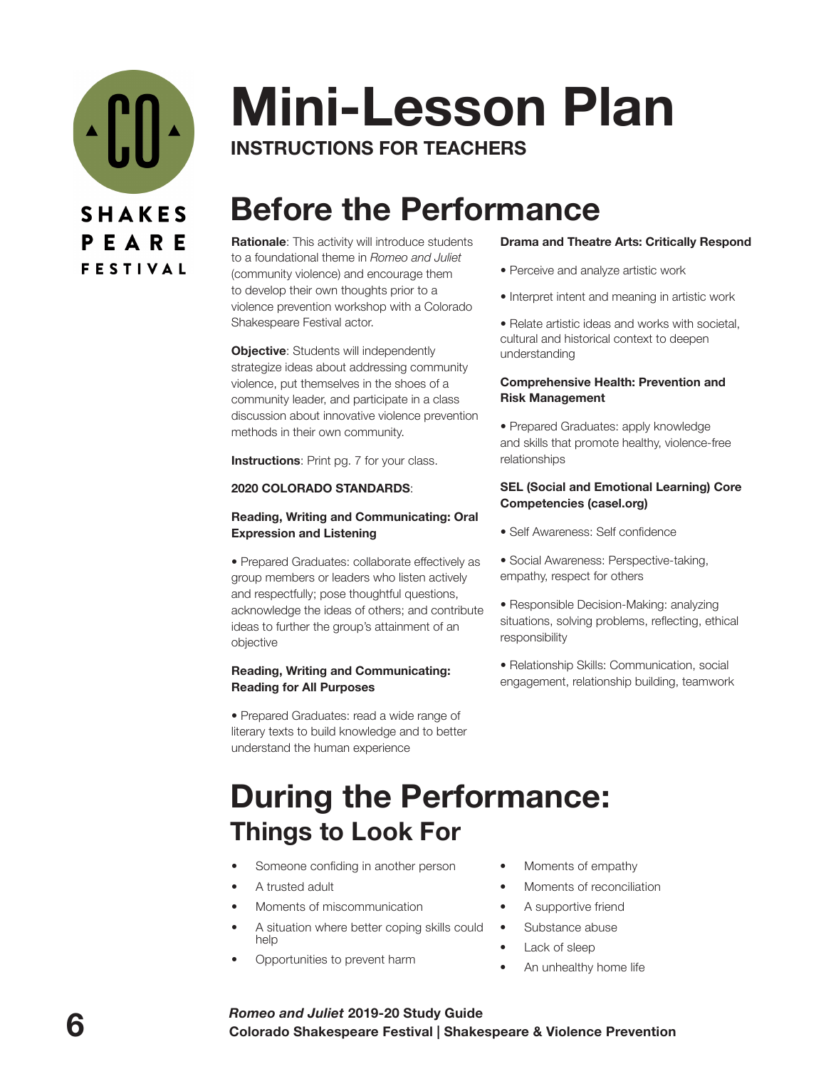

# **Mini-Lesson Plan INSTRUCTIONS FOR TEACHERS**

# **Before the Performance**

**Rationale**: This activity will introduce students to a foundational theme in *Romeo and Juliet* (community violence) and encourage them to develop their own thoughts prior to a violence prevention workshop with a Colorado Shakespeare Festival actor.

**Objective:** Students will independently strategize ideas about addressing community violence, put themselves in the shoes of a community leader, and participate in a class discussion about innovative violence prevention methods in their own community.

**Instructions**: Print pg. 7 for your class.

#### **2020 COLORADO STANDARDS**:

#### **Reading, Writing and Communicating: Oral Expression and Listening**

• Prepared Graduates: collaborate effectively as group members or leaders who listen actively and respectfully; pose thoughtful questions, acknowledge the ideas of others; and contribute ideas to further the group's attainment of an objective

#### **Reading, Writing and Communicating: Reading for All Purposes**

• Prepared Graduates: read a wide range of literary texts to build knowledge and to better understand the human experience

#### **Drama and Theatre Arts: Critically Respond**

- Perceive and analyze artistic work
- Interpret intent and meaning in artistic work

• Relate artistic ideas and works with societal, cultural and historical context to deepen understanding

#### **Comprehensive Health: Prevention and Risk Management**

• Prepared Graduates: apply knowledge and skills that promote healthy, violence-free relationships

#### **SEL (Social and Emotional Learning) Core Competencies (casel.org)**

- Self Awareness: Self confidence
- Social Awareness: Perspective-taking, empathy, respect for others
- Responsible Decision-Making: analyzing situations, solving problems, reflecting, ethical responsibility
- Relationship Skills: Communication, social engagement, relationship building, teamwork

# **During the Performance: Things to Look For**

- Someone confiding in another person
- A trusted adult
- Moments of miscommunication
- A situation where better coping skills could help
- Opportunities to prevent harm
- Moments of empathy
- Moments of reconciliation
- A supportive friend
- Substance abuse
- Lack of sleep
- An unhealthy home life

#### **6 Colorado Shakespeare Festival | Shakespeare & Violence Prevention** *Romeo and Juliet* **2019-20 Study Guide**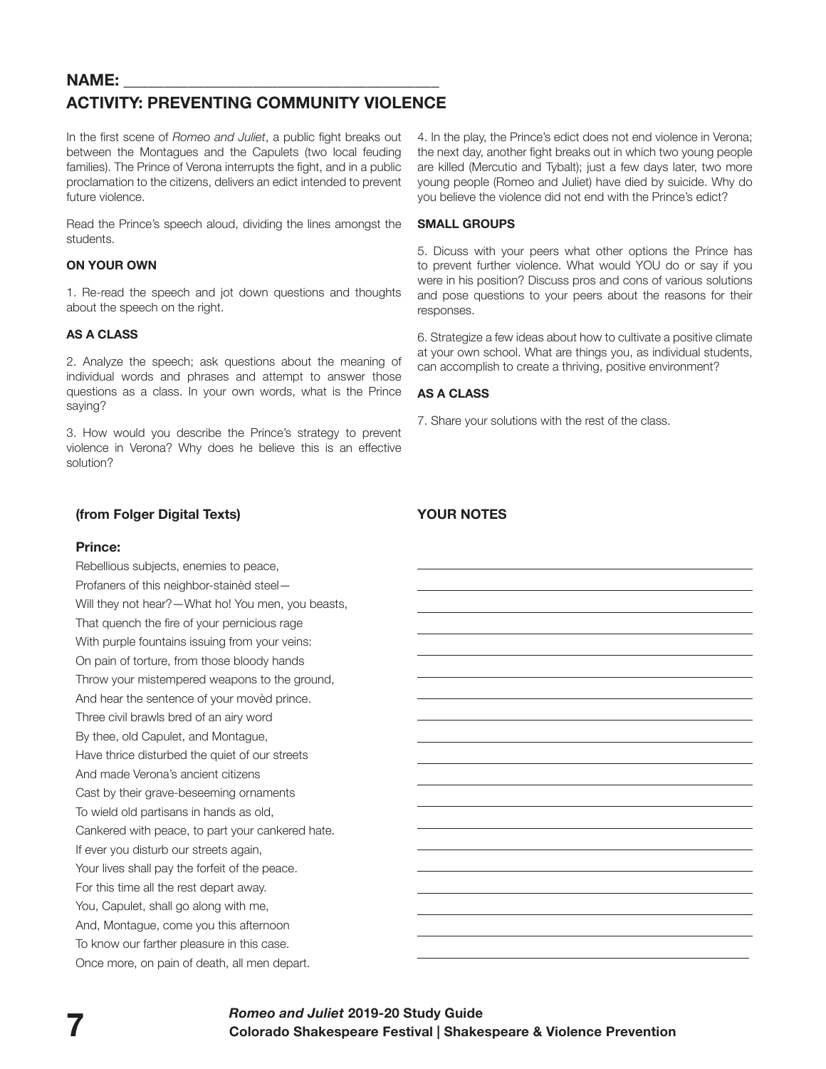#### NAME:

#### **ACTIVITY: PREVENTING COMMUNITY VIOLENCE**

In the first scene of *Romeo and Juliet*, a public fight breaks out between the Montagues and the Capulets (two local feuding families). The Prince of Verona interrupts the fight, and in a public proclamation to the citizens, delivers an edict intended to prevent future violence.

Read the Prince's speech aloud, dividing the lines amongst the students.

#### **ON YOUR OWN**

1. Re-read the speech and jot down questions and thoughts about the speech on the right.

#### **AS A CLASS**

2. Analyze the speech; ask questions about the meaning of individual words and phrases and attempt to answer those questions as a class. In your own words, what is the Prince saying?

3. How would you describe the Prince's strategy to prevent violence in Verona? Why does he believe this is an effective solution?

#### **(from Folger Digital Texts)**

#### **Prince:**

Rebellious subjects, enemies to peace, Profaners of this neighbor-stainèd steel— Will they not hear?—What ho! You men, you beasts, That quench the fire of your pernicious rage With purple fountains issuing from your veins: On pain of torture, from those bloody hands Throw your mistempered weapons to the ground, And hear the sentence of your movèd prince. Three civil brawls bred of an airy word By thee, old Capulet, and Montague, Have thrice disturbed the quiet of our streets And made Verona's ancient citizens Cast by their grave-beseeming ornaments To wield old partisans in hands as old, Cankered with peace, to part your cankered hate. If ever you disturb our streets again, Your lives shall pay the forfeit of the peace. For this time all the rest depart away. You, Capulet, shall go along with me, And, Montague, come you this afternoon To know our farther pleasure in this case. Once more, on pain of death, all men depart.

4. In the play, the Prince's edict does not end violence in Verona; the next day, another fight breaks out in which two young people are killed (Mercutio and Tybalt); just a few days later, two more young people (Romeo and Juliet) have died by suicide. Why do you believe the violence did not end with the Prince's edict?

#### **SMALL GROUPS**

5. Dicuss with your peers what other options the Prince has to prevent further violence. What would YOU do or say if you were in his position? Discuss pros and cons of various solutions and pose questions to your peers about the reasons for their responses.

6. Strategize a few ideas about how to cultivate a positive climate at your own school. What are things you, as individual students, can accomplish to create a thriving, positive environment?

#### **AS A CLASS**

7. Share your solutions with the rest of the class.

#### **YOUR NOTES**

 $\overline{a}$ 

 $\overline{a}$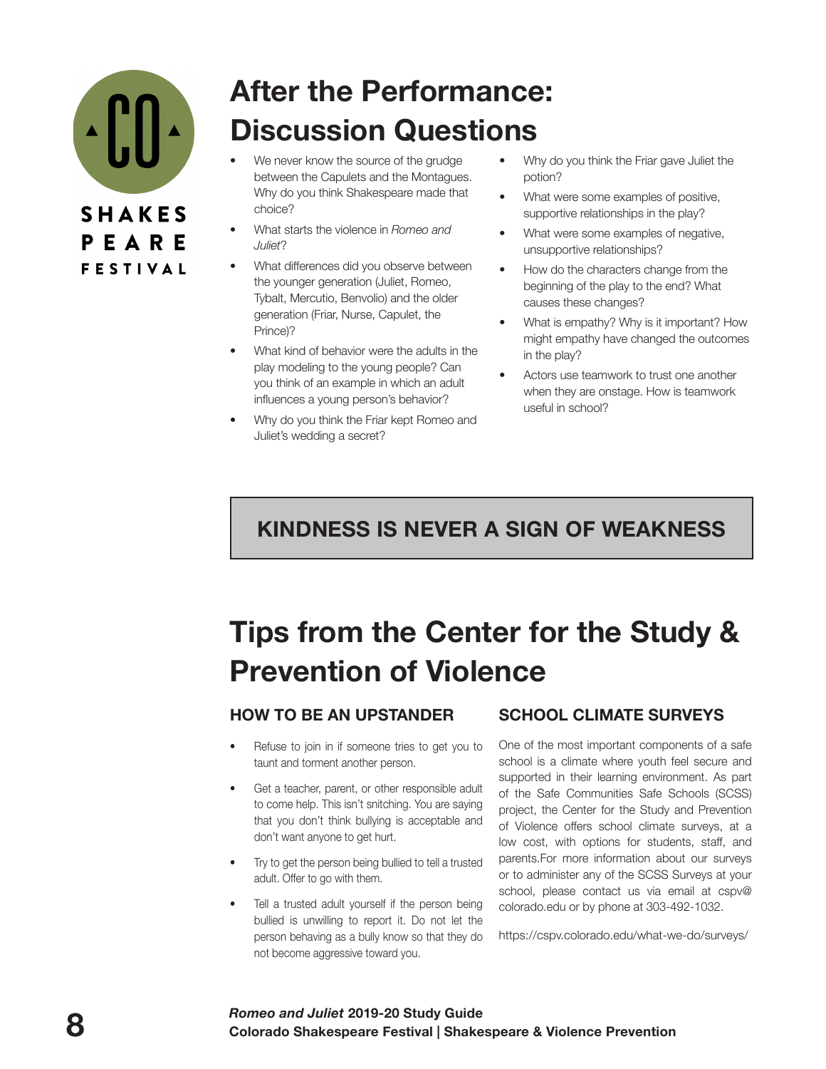

# **After the Performance: Discussion Questions**

- We never know the source of the grudge between the Capulets and the Montagues. Why do you think Shakespeare made that choice?
- What starts the violence in *Romeo and Juliet*?
- What differences did you observe between the younger generation (Juliet, Romeo, Tybalt, Mercutio, Benvolio) and the older generation (Friar, Nurse, Capulet, the Prince)?
- What kind of behavior were the adults in the play modeling to the young people? Can you think of an example in which an adult influences a young person's behavior?
- Why do you think the Friar kept Romeo and Juliet's wedding a secret?
- Why do you think the Friar gave Juliet the potion?
- What were some examples of positive, supportive relationships in the play?
- What were some examples of negative, unsupportive relationships?
- How do the characters change from the beginning of the play to the end? What causes these changes?
- What is empathy? Why is it important? How might empathy have changed the outcomes in the play?
- Actors use teamwork to trust one another when they are onstage. How is teamwork useful in school?

# **KINDNESS IS NEVER A SIGN OF WEAKNESS**

# **Tips from the Center for the Study & Prevention of Violence**

## **HOW TO BE AN UPSTANDER**

- Refuse to join in if someone tries to get you to taunt and torment another person.
- Get a teacher, parent, or other responsible adult to come help. This isn't snitching. You are saying that you don't think bullying is acceptable and don't want anyone to get hurt.
- Try to get the person being bullied to tell a trusted adult. Offer to go with them.
- Tell a trusted adult yourself if the person being bullied is unwilling to report it. Do not let the person behaving as a bully know so that they do not become aggressive toward you.

## **SCHOOL CLIMATE SURVEYS**

One of the most important components of a safe school is a climate where youth feel secure and supported in their learning environment. As part of the Safe Communities Safe Schools (SCSS) project, the Center for the Study and Prevention of Violence offers school climate surveys, at a low cost, with options for students, staff, and parents.For more information about our surveys or to administer any of the SCSS Surveys at your school, please contact us via email at cspv@ colorado.edu or by phone at 303-492-1032.

https://cspv.colorado.edu/what-we-do/surveys/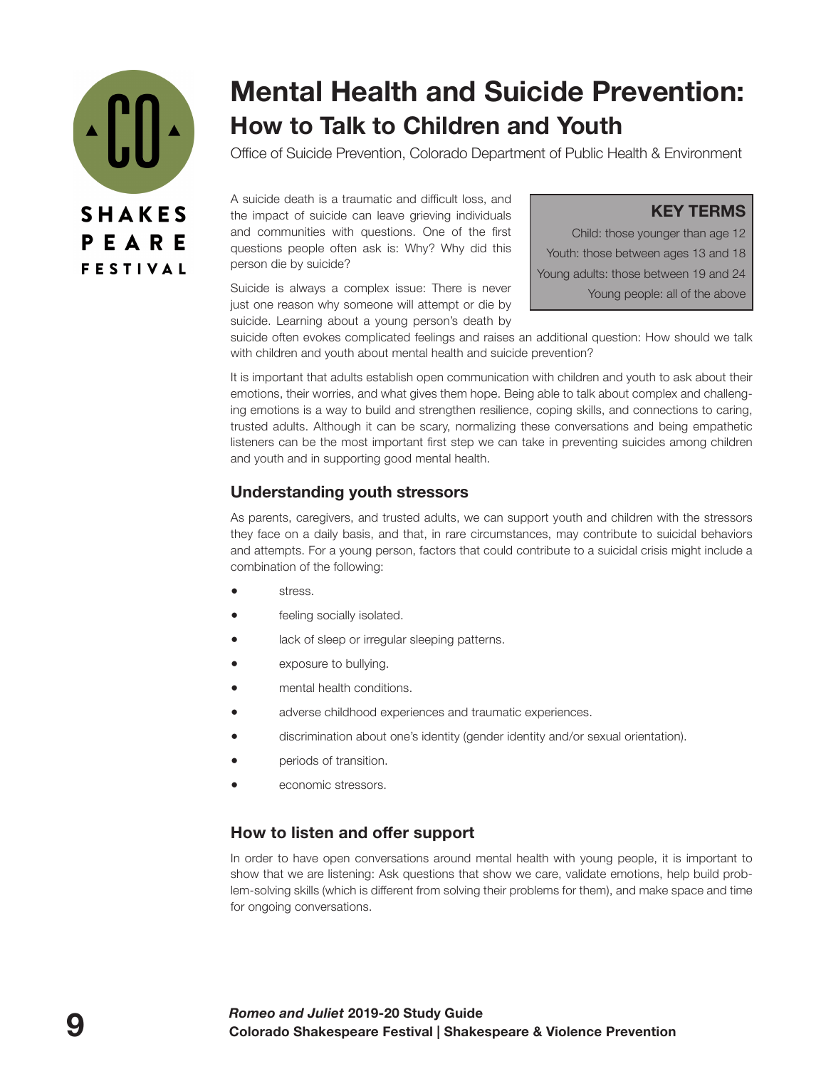

# **Mental Health and Suicide Prevention: How to Talk to Children and Youth**

Office of Suicide Prevention, Colorado Department of Public Health & Environment

A suicide death is a traumatic and difficult loss, and the impact of suicide can leave grieving individuals and communities with questions. One of the first questions people often ask is: Why? Why did this person die by suicide?

Suicide is always a complex issue: There is never just one reason why someone will attempt or die by suicide. Learning about a young person's death by

**KEY TERMS**

Child: those younger than age 12 Youth: those between ages 13 and 18 Young adults: those between 19 and 24 Young people: all of the above

suicide often evokes complicated feelings and raises an additional question: How should we talk with children and youth about mental health and suicide prevention?

It is important that adults establish open communication with children and youth to ask about their emotions, their worries, and what gives them hope. Being able to talk about complex and challenging emotions is a way to build and strengthen resilience, coping skills, and connections to caring, trusted adults. Although it can be scary, normalizing these conversations and being empathetic listeners can be the most important first step we can take in preventing suicides among children and youth and in supporting good mental health.

#### **Understanding youth stressors**

As parents, caregivers, and trusted adults, we can support youth and children with the stressors they face on a daily basis, and that, in rare circumstances, may contribute to suicidal behaviors and attempts. For a young person, factors that could contribute to a suicidal crisis might include a combination of the following:

- stress.
- feeling socially isolated.
- **•** lack of sleep or irregular sleeping patterns.
- exposure to bullying.
- mental health conditions.
- adverse childhood experiences and traumatic experiences.
- discrimination about one's identity (gender identity and/or sexual orientation).
- **periods of transition.**
- economic stressors.

#### **How to listen and offer support**

In order to have open conversations around mental health with young people, it is important to show that we are listening: Ask questions that show we care, validate emotions, help build problem-solving skills (which is different from solving their problems for them), and make space and time for ongoing conversations.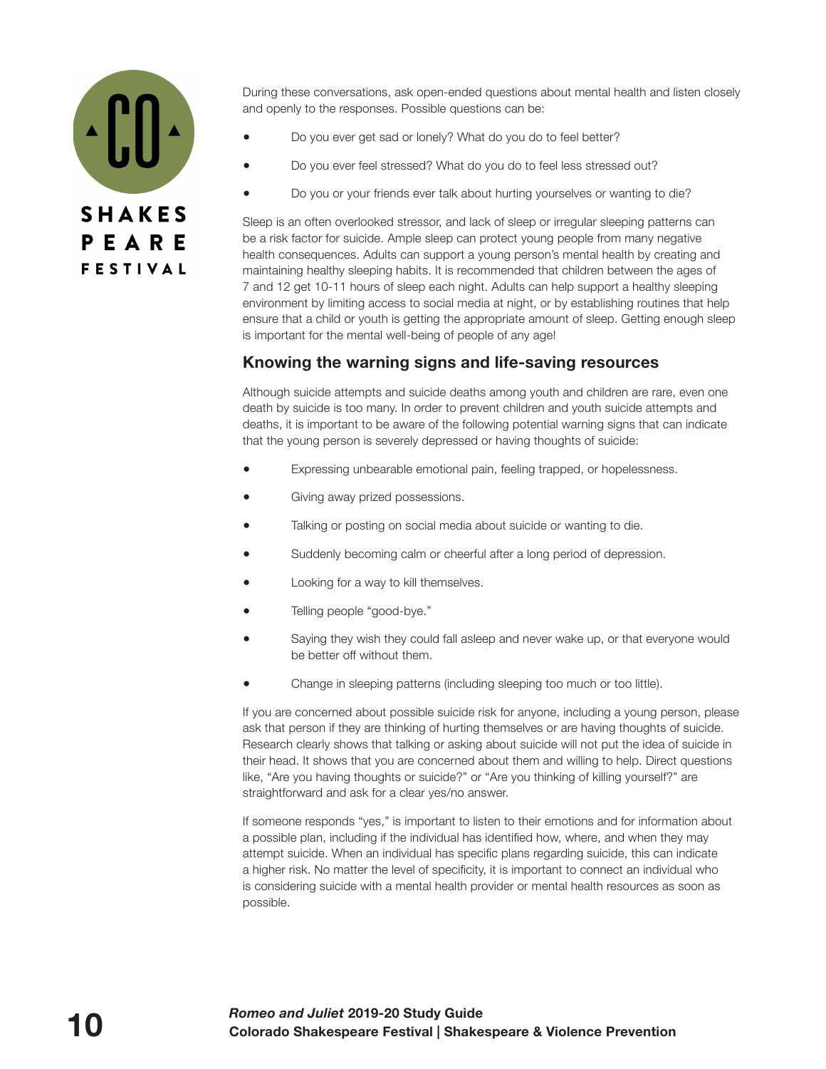

During these conversations, ask open-ended questions about mental health and listen closely and openly to the responses. Possible questions can be:

- Do you ever get sad or lonely? What do you do to feel better?
- Do you ever feel stressed? What do you do to feel less stressed out?
- Do you or your friends ever talk about hurting yourselves or wanting to die?

Sleep is an often overlooked stressor, and lack of sleep or irregular sleeping patterns can be a risk factor for suicide. Ample sleep can protect young people from many negative health consequences. Adults can support a young person's mental health by creating and maintaining healthy sleeping habits. It is recommended that children between the ages of 7 and 12 get 10-11 hours of sleep each night. Adults can help support a healthy sleeping environment by limiting access to social media at night, or by establishing routines that help ensure that a child or youth is getting the appropriate amount of sleep. Getting enough sleep is important for the mental well-being of people of any age!

#### **Knowing the warning signs and life-saving resources**

Although suicide attempts and suicide deaths among youth and children are rare, even one death by suicide is too many. In order to prevent children and youth suicide attempts and deaths, it is important to be aware of the following potential warning signs that can indicate that the young person is severely depressed or having thoughts of suicide:

- Expressing unbearable emotional pain, feeling trapped, or hopelessness.
- Giving away prized possessions.
- Talking or posting on social media about suicide or wanting to die.
- Suddenly becoming calm or cheerful after a long period of depression.
- Looking for a way to kill themselves.
- Telling people "good-bye."
- Saying they wish they could fall asleep and never wake up, or that everyone would be better off without them.
- Change in sleeping patterns (including sleeping too much or too little).

If you are concerned about possible suicide risk for anyone, including a young person, please ask that person if they are thinking of hurting themselves or are having thoughts of suicide. Research clearly shows that talking or asking about suicide will not put the idea of suicide in their head. It shows that you are concerned about them and willing to help. Direct questions like, "Are you having thoughts or suicide?" or "Are you thinking of killing yourself?" are straightforward and ask for a clear yes/no answer.

If someone responds "yes," is important to listen to their emotions and for information about a possible plan, including if the individual has identified how, where, and when they may attempt suicide. When an individual has specific plans regarding suicide, this can indicate a higher risk. No matter the level of specificity, it is important to connect an individual who is considering suicide with a mental health provider or mental health resources as soon as possible.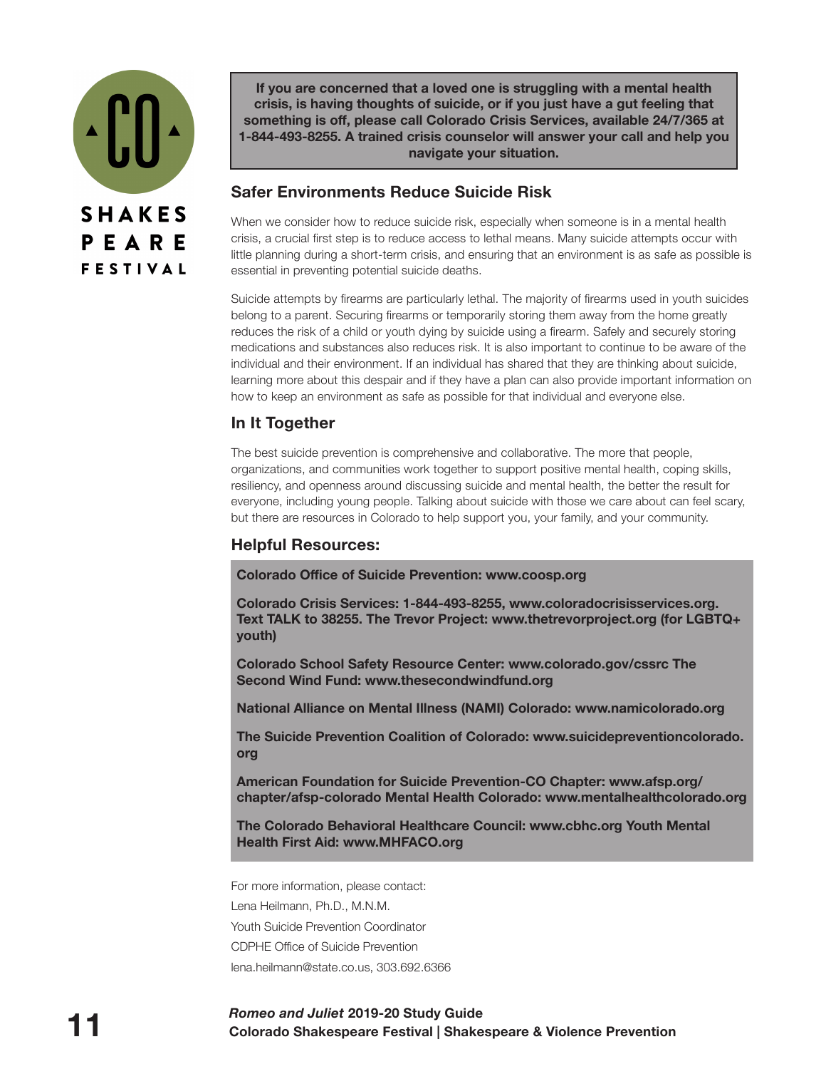

**If you are concerned that a loved one is struggling with a mental health crisis, is having thoughts of suicide, or if you just have a gut feeling that something is off, please call Colorado Crisis Services, available 24/7/365 at 1-844-493-8255. A trained crisis counselor will answer your call and help you navigate your situation.**

#### **Safer Environments Reduce Suicide Risk**

When we consider how to reduce suicide risk, especially when someone is in a mental health crisis, a crucial first step is to reduce access to lethal means. Many suicide attempts occur with little planning during a short-term crisis, and ensuring that an environment is as safe as possible is essential in preventing potential suicide deaths.

Suicide attempts by firearms are particularly lethal. The majority of firearms used in youth suicides belong to a parent. Securing firearms or temporarily storing them away from the home greatly reduces the risk of a child or youth dying by suicide using a firearm. Safely and securely storing medications and substances also reduces risk. It is also important to continue to be aware of the individual and their environment. If an individual has shared that they are thinking about suicide, learning more about this despair and if they have a plan can also provide important information on how to keep an environment as safe as possible for that individual and everyone else.

## **In It Together**

The best suicide prevention is comprehensive and collaborative. The more that people, organizations, and communities work together to support positive mental health, coping skills, resiliency, and openness around discussing suicide and mental health, the better the result for everyone, including young people. Talking about suicide with those we care about can feel scary, but there are resources in Colorado to help support you, your family, and your community.

#### **Helpful Resources:**

**Colorado Office of Suicide Prevention: www.coosp.org**

**Colorado Crisis Services: 1-844-493-8255, www.coloradocrisisservices.org. Text TALK to 38255. The Trevor Project: www.thetrevorproject.org (for LGBTQ+ youth)**

**Colorado School Safety Resource Center: www.colorado.gov/cssrc The Second Wind Fund: www.thesecondwindfund.org**

**National Alliance on Mental Illness (NAMI) Colorado: www.namicolorado.org**

**The Suicide Prevention Coalition of Colorado: www.suicidepreventioncolorado. org**

**American Foundation for Suicide Prevention-CO Chapter: www.afsp.org/ chapter/afsp-colorado Mental Health Colorado: www.mentalhealthcolorado.org**

**The Colorado Behavioral Healthcare Council: www.cbhc.org Youth Mental Health First Aid: www.MHFACO.org**

For more information, please contact: Lena Heilmann, Ph.D., M.N.M. Youth Suicide Prevention Coordinator CDPHE Office of Suicide Prevention lena.heilmann@state.co.us, 303.692.6366